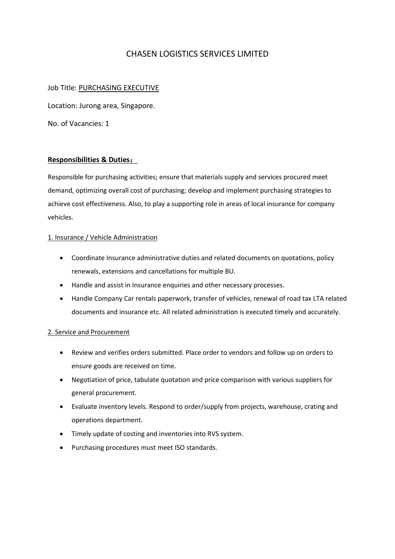# CHASEN LOGISTICS SERVICES LIMITED

### Job Title: PURCHASING EXECUTIVE

Location: Jurong area, Singapore.

No. of Vacancies: 1

#### **Responsibilities & Duties**:

Responsible for purchasing activities; ensure that materials supply and services procured meet demand, optimizing overall cost of purchasing; develop and implement purchasing strategies to achieve cost effectiveness. Also, to play a supporting role in areas of local insurance for company vehicles.

#### 1. Insurance / Vehicle Administration

- Coordinate Insurance administrative duties and related documents on quotations, policy renewals, extensions and cancellations for multiple BU.
- Handle and assist in Insurance enquiries and other necessary processes.
- Handle Company Car rentals paperwork, transfer of vehicles, renewal of road tax LTA related documents and insurance etc. All related administration is executed timely and accurately.

#### 2. Service and Procurement

- Review and verifies orders submitted. Place order to vendors and follow up on orders to ensure goods are received on time.
- Negotiation of price, tabulate quotation and price comparison with various suppliers for general procurement.
- Evaluate inventory levels. Respond to order/supply from projects, warehouse, crating and operations department.
- Timely update of costing and inventories into RVS system.
- Purchasing procedures must meet ISO standards.